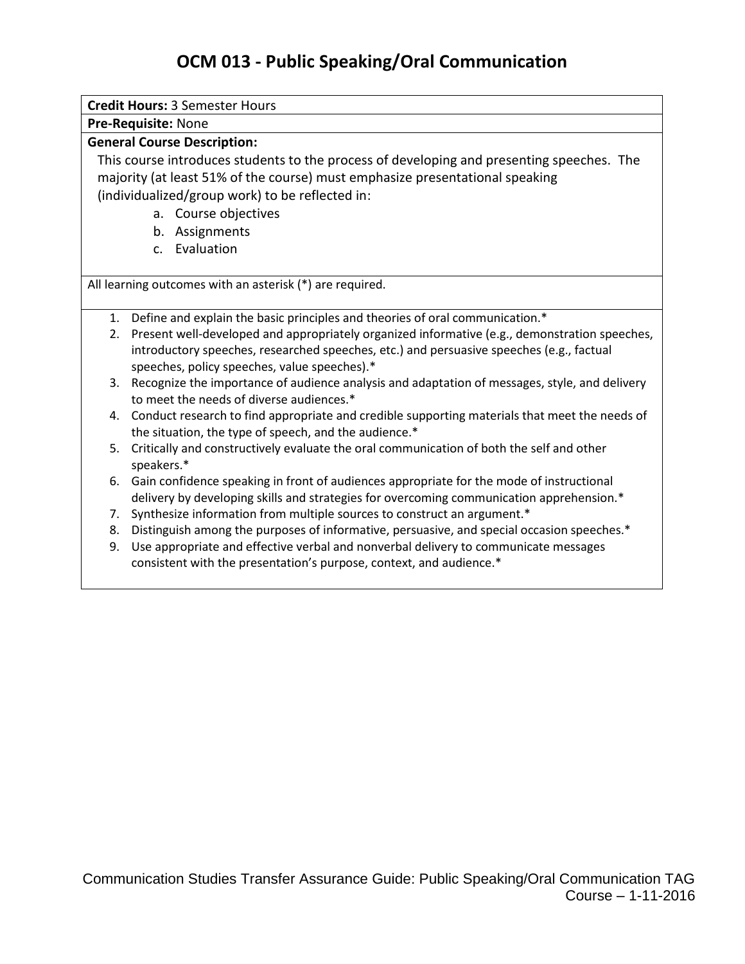## **OCM 013 - Public Speaking/Oral Communication**

| <b>Credit Hours: 3 Semester Hours</b>                                                                                                    |                                                                                                                                                                     |  |  |
|------------------------------------------------------------------------------------------------------------------------------------------|---------------------------------------------------------------------------------------------------------------------------------------------------------------------|--|--|
| Pre-Requisite: None                                                                                                                      |                                                                                                                                                                     |  |  |
| <b>General Course Description:</b>                                                                                                       |                                                                                                                                                                     |  |  |
| This course introduces students to the process of developing and presenting speeches. The                                                |                                                                                                                                                                     |  |  |
| majority (at least 51% of the course) must emphasize presentational speaking                                                             |                                                                                                                                                                     |  |  |
| (individualized/group work) to be reflected in:                                                                                          |                                                                                                                                                                     |  |  |
| a. Course objectives                                                                                                                     |                                                                                                                                                                     |  |  |
|                                                                                                                                          | b. Assignments                                                                                                                                                      |  |  |
|                                                                                                                                          | Evaluation<br>C <sub>1</sub>                                                                                                                                        |  |  |
| All learning outcomes with an asterisk (*) are required.                                                                                 |                                                                                                                                                                     |  |  |
|                                                                                                                                          | 1. Define and explain the basic principles and theories of oral communication.*                                                                                     |  |  |
| Present well-developed and appropriately organized informative (e.g., demonstration speeches,<br>2.                                      |                                                                                                                                                                     |  |  |
| introductory speeches, researched speeches, etc.) and persuasive speeches (e.g., factual<br>speeches, policy speeches, value speeches).* |                                                                                                                                                                     |  |  |
|                                                                                                                                          | 3. Recognize the importance of audience analysis and adaptation of messages, style, and delivery<br>to meet the needs of diverse audiences.*                        |  |  |
|                                                                                                                                          | 4. Conduct research to find appropriate and credible supporting materials that meet the needs of<br>the situation, the type of speech, and the audience.*           |  |  |
|                                                                                                                                          | 5. Critically and constructively evaluate the oral communication of both the self and other<br>speakers.*                                                           |  |  |
| 6.                                                                                                                                       | Gain confidence speaking in front of audiences appropriate for the mode of instructional                                                                            |  |  |
| 7.                                                                                                                                       | delivery by developing skills and strategies for overcoming communication apprehension.*<br>Synthesize information from multiple sources to construct an argument.* |  |  |
| 8.                                                                                                                                       | Distinguish among the purposes of informative, persuasive, and special occasion speeches.*                                                                          |  |  |
| 9.                                                                                                                                       | Use appropriate and effective verbal and nonverbal delivery to communicate messages                                                                                 |  |  |
|                                                                                                                                          | consistent with the presentation's purpose, context, and audience.*                                                                                                 |  |  |